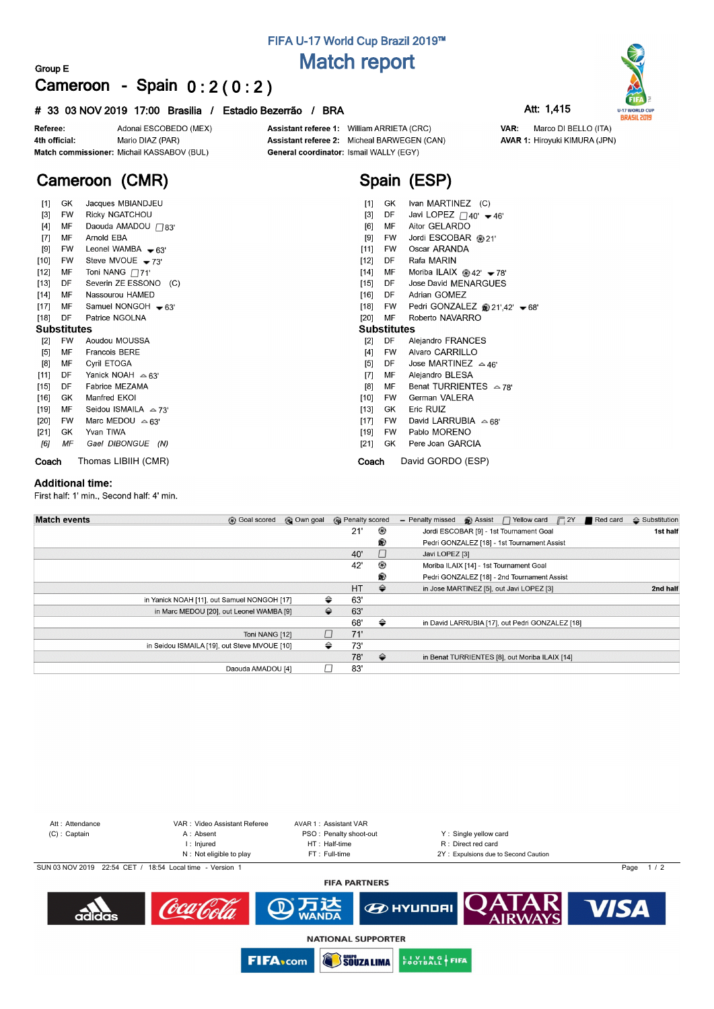# **FIFA U-17 World Cup Brazil 2019™ Match report**

### **Group E Cameroon - Spain 0 : 2 ( 0 : 2 )**

### **# 33 03 NOV 2019 17:00 Brasilia / Estadio Bezerrão / BRA Att: 1,415**



Assistant referee 1: William ARRIETA (CRC) Assistant referee 2: Micheal BARWEGEN (CAN) General coordinator: Ismail WALLY (EGY)

**Spain (ESP)**





VAR: Marco DI BELLO (ITA) **AVAR 1: Hiroyuki KIMURA (JPN)** 

# **Cameroon (CMR)**

| $[1]$              | GK        | Jacques MBIANDJEU            | $[1]$              | GK        | Ivan MARTINEZ (C)                                  |  |  |  |  |  |  |
|--------------------|-----------|------------------------------|--------------------|-----------|----------------------------------------------------|--|--|--|--|--|--|
| $[3]$              | <b>FW</b> | Ricky NGATCHOU               | $[3]$              | DF        | Javi LOPEZ $\Box$ 40' $\blacktriangleright$ 46'    |  |  |  |  |  |  |
|                    |           |                              |                    |           |                                                    |  |  |  |  |  |  |
| $[4]$              | MF        | Daouda AMADOU ∩83'           | [6]                | МF        | Aitor GELARDO                                      |  |  |  |  |  |  |
| $[7]$              | MF        | Arnold EBA                   | [9]                | FW        | Jordi ESCOBAR @ 21'                                |  |  |  |  |  |  |
| [9]                | FW        | Leonel WAMBA $-63'$          | [11]               | FW        | Oscar ARANDA                                       |  |  |  |  |  |  |
| $[10]$             | <b>FW</b> | Steve MVOUE $-73'$           | $[12]$             | DF        | Rafa MARIN                                         |  |  |  |  |  |  |
| $[12]$             | МF        | Toni NANG $\Box$ 71'         | [14]               | МF        | Moriba ILAIX @ 42' $\blacktriangleright$ 78'       |  |  |  |  |  |  |
| $[13]$             | DF        | Severin ZE ESSONO (C)        | $[15]$             | DF        | Jose David MENARGUES                               |  |  |  |  |  |  |
| $[14]$             | MF        | Nassourou HAMED              | $[16]$             | DF        | Adrian GOMEZ                                       |  |  |  |  |  |  |
| [17]               | MF        | Samuel NONGOH $-63'$         | $[18]$             | FW        | Pedri GONZALEZ @ 21',42' $\blacktriangleright$ 68' |  |  |  |  |  |  |
| $[18]$             | DF        | Patrice NGOLNA               | $[20]$             | MF        | Roberto NAVARRO                                    |  |  |  |  |  |  |
| <b>Substitutes</b> |           |                              | <b>Substitutes</b> |           |                                                    |  |  |  |  |  |  |
| $[2]$              | FW        | Aoudou MOUSSA                | [2]                | DF        | Alejandro FRANCES                                  |  |  |  |  |  |  |
| $[5]$              | МF        | <b>Francois BERE</b>         | $[4]$              | <b>FW</b> | Alvaro CARRILLO                                    |  |  |  |  |  |  |
| [8]                | МF        | Cyril ETOGA                  | $[5]$              | DF        | Jose MARTINEZ $\approx$ 46'                        |  |  |  |  |  |  |
| [11]               | DF        | Yanick NOAH $\approx 63'$    | $[7]$              | МF        | Alejandro BLESA                                    |  |  |  |  |  |  |
| $[15]$             | DF        | Fabrice MEZAMA               | [8]                | MF        | Benat TURRIENTES $\leq 78$                         |  |  |  |  |  |  |
| [16]               | GK        | Manfred EKOI                 | $[10]$             | FW        | German VALERA                                      |  |  |  |  |  |  |
| $[19]$             | MF        | Seidou ISMAILA $\approx$ 73' | $[13]$             | GK        | Eric RUIZ                                          |  |  |  |  |  |  |
| $[20]$             | FW        | Marc MEDOU $\triangle 63'$   | $[17]$             | FW        | David LARRUBIA $\triangle$ 68'                     |  |  |  |  |  |  |
| $[21]$             | GK        | Yvan TIWA                    | $[19]$             | FW        | Pablo MORENO                                       |  |  |  |  |  |  |
| [6]                | ΜF        | Gael DIBONGUE (N)            | $[21]$             | GK        | Pere Joan GARCIA                                   |  |  |  |  |  |  |
| Coach              |           | Thomas LIBIIH (CMR)          |                    | Coach     | David GORDO (ESP)                                  |  |  |  |  |  |  |

#### **Additional time:**

First half: 1' min., Second half: 4' min.

| <b>Match events</b> | <b>B</b> Goal scored                         | © Own goal | <b>B</b> Penalty scored |               | $\bigcirc$ Assist $\bigcap$ Yellow card $\bigcap$ 2Y<br>Red card<br>- Penalty missed | $\triangle$ Substitution |
|---------------------|----------------------------------------------|------------|-------------------------|---------------|--------------------------------------------------------------------------------------|--------------------------|
|                     |                                              |            | 21'                     | ⊛             | Jordi ESCOBAR [9] - 1st Tournament Goal                                              | 1st half                 |
|                     |                                              |            |                         | ®             | Pedri GONZALEZ [18] - 1st Tournament Assist                                          |                          |
|                     |                                              |            | 40'                     |               | Javi LOPEZ [3]                                                                       |                          |
|                     |                                              |            | 42'                     | ⊛             | Moriba ILAIX [14] - 1st Tournament Goal                                              |                          |
|                     |                                              |            |                         | ⊛             | Pedri GONZALEZ [18] - 2nd Tournament Assist                                          |                          |
|                     |                                              |            | HT                      | $\Rightarrow$ | in Jose MARTINEZ [5], out Javi LOPEZ [3]                                             | 2nd half                 |
|                     | in Yanick NOAH [11], out Samuel NONGOH [17]  |            | ⇔<br>63'                |               |                                                                                      |                          |
|                     | in Marc MEDOU [20], out Leonel WAMBA [9]     |            | 63'<br>⇔                |               |                                                                                      |                          |
|                     |                                              |            | 68'                     | ⇔             | in David LARRUBIA [17], out Pedri GONZALEZ [18]                                      |                          |
|                     | Toni NANG [12]                               |            | 71'                     |               |                                                                                      |                          |
|                     | in Seidou ISMAILA [19], out Steve MVOUE [10] |            | ⇔<br>73'                |               |                                                                                      |                          |
|                     |                                              |            | 78'                     | $\Rightarrow$ | in Benat TURRIENTES [8], out Moriba ILAIX [14]                                       |                          |
|                     | Daouda AMADOU [4]                            |            | 83'                     |               |                                                                                      |                          |



**NATIONAL SUPPORTER**